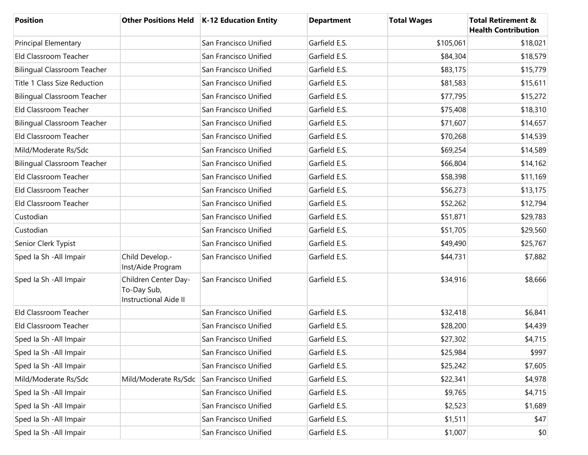| <b>Position</b>                    |                                                                     | Other Positions Held   K-12 Education Entity | <b>Department</b> | <b>Total Wages</b> | <b>Total Retirement &amp;</b><br><b>Health Contribution</b> |
|------------------------------------|---------------------------------------------------------------------|----------------------------------------------|-------------------|--------------------|-------------------------------------------------------------|
| <b>Principal Elementary</b>        |                                                                     | San Francisco Unified                        | Garfield E.S.     | \$105,061          | \$18,021                                                    |
| Eld Classroom Teacher              |                                                                     | San Francisco Unified                        | Garfield E.S.     | \$84,304           | \$18,579                                                    |
| <b>Bilingual Classroom Teacher</b> |                                                                     | San Francisco Unified                        | Garfield E.S.     | \$83,175           | \$15,779                                                    |
| Title 1 Class Size Reduction       |                                                                     | San Francisco Unified                        | Garfield E.S.     | \$81,583           | \$15,611                                                    |
| <b>Bilingual Classroom Teacher</b> |                                                                     | San Francisco Unified                        | Garfield E.S.     | \$77,795           | \$15,272                                                    |
| Eld Classroom Teacher              |                                                                     | San Francisco Unified                        | Garfield E.S.     | \$75,408           | \$18,310                                                    |
| <b>Bilingual Classroom Teacher</b> |                                                                     | San Francisco Unified                        | Garfield E.S.     | \$71,607           | \$14,657                                                    |
| Eld Classroom Teacher              |                                                                     | San Francisco Unified                        | Garfield E.S.     | \$70,268           | \$14,539                                                    |
| Mild/Moderate Rs/Sdc               |                                                                     | San Francisco Unified                        | Garfield E.S.     | \$69,254           | \$14,589                                                    |
| <b>Bilingual Classroom Teacher</b> |                                                                     | San Francisco Unified                        | Garfield E.S.     | \$66,804           | \$14,162                                                    |
| Eld Classroom Teacher              |                                                                     | San Francisco Unified                        | Garfield E.S.     | \$58,398           | \$11,169                                                    |
| Eld Classroom Teacher              |                                                                     | San Francisco Unified                        | Garfield E.S.     | \$56,273           | \$13,175                                                    |
| Eld Classroom Teacher              |                                                                     | San Francisco Unified                        | Garfield E.S.     | \$52,262           | \$12,794                                                    |
| Custodian                          |                                                                     | San Francisco Unified                        | Garfield E.S.     | \$51,871           | \$29,783                                                    |
| Custodian                          |                                                                     | San Francisco Unified                        | Garfield E.S.     | \$51,705           | \$29,560                                                    |
| Senior Clerk Typist                |                                                                     | San Francisco Unified                        | Garfield E.S.     | \$49,490           | \$25,767                                                    |
| Sped Ia Sh - All Impair            | Child Develop.-<br>Inst/Aide Program                                | San Francisco Unified                        | Garfield E.S.     | \$44,731           | \$7,882                                                     |
| Sped Ia Sh - All Impair            | Children Center Day-<br>To-Day Sub,<br><b>Instructional Aide II</b> | San Francisco Unified                        | Garfield E.S.     | \$34,916           | \$8,666                                                     |
| Eld Classroom Teacher              |                                                                     | San Francisco Unified                        | Garfield E.S.     | \$32,418           | \$6,841                                                     |
| Eld Classroom Teacher              |                                                                     | San Francisco Unified                        | Garfield E.S.     | \$28,200           | \$4,439                                                     |
| Sped Ia Sh - All Impair            |                                                                     | San Francisco Unified                        | Garfield E.S.     | \$27,302           | \$4,715                                                     |
| Sped Ia Sh - All Impair            |                                                                     | San Francisco Unified                        | Garfield E.S.     | \$25,984           | \$997                                                       |
| Sped la Sh - All Impair            |                                                                     | San Francisco Unified                        | Garfield E.S.     | \$25,242           | \$7,605                                                     |
| Mild/Moderate Rs/Sdc               | Mild/Moderate Rs/Sdc                                                | San Francisco Unified                        | Garfield E.S.     | \$22,341           | \$4,978                                                     |
| Sped Ia Sh - All Impair            |                                                                     | San Francisco Unified                        | Garfield E.S.     | \$9,765            | \$4,715                                                     |
| Sped Ia Sh - All Impair            |                                                                     | San Francisco Unified                        | Garfield E.S.     | \$2,523            | \$1,689                                                     |
| Sped Ia Sh - All Impair            |                                                                     | San Francisco Unified                        | Garfield E.S.     | \$1,511            | \$47                                                        |
| Sped Ia Sh - All Impair            |                                                                     | San Francisco Unified                        | Garfield E.S.     | \$1,007            | \$0                                                         |